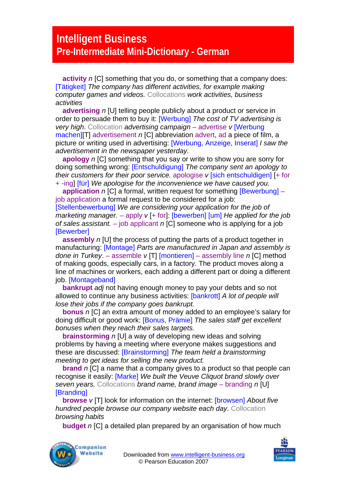## **Intelligent Business Pre-Intermediate Mini-Dictionary - German**

**activity** *n* [C] something that you do, or something that a company does: [Tätigkeit] *The company has different activities, for example making computer games and videos.* Collocations *work activities, business activities* 

**advertising** *n* [U] telling people publicly about a product or service in order to persuade them to buy it: [Werbung] *The cost of TV advertising is very high.* Collocation *advertising campaign* – advertise *v* [Werbung] machen]<sup>[T]</sup> advertisement *n* [C] abbreviation advert, ad a piece of film, a picture or writing used in advertising: [Werbung, Anzeige, Inserat] *I saw the advertisement in the newspaper yesterday.* 

**apology** *n* [C] something that you say or write to show you are sorry for doing something wrong: [Entschuldigung] *The company sent an apology to their customers for their poor service.* apologise *v* [sich entschuldigen] [+ for + -ing] [für] *We apologise for the inconvenience we have caused you.* 

**application** *n* [C] a formal, written request for something [Bewerbung] – job application a formal request to be considered for a job:

[Stellenbewerbung] *We are considering your application for the job of marketing manager.* – apply *v* [+ for]: [bewerben] [um] *He applied for the job of sales assistant.* – job applicant *n* [C] someone who is applying for a job [Bewerber]

**assembly** *n* [U] the process of putting the parts of a product together in manufacturing: [Montage] *Parts are manufactured in Japan and assembly is done in Turkey*. – assemble *v* [T] [montieren] – assembly line *n* [C] method of making goods, especially cars, in a factory. The product moves along a line of machines or workers, each adding a different part or doing a different job. [Montageband]

**bankrupt** *adj* not having enough money to pay your debts and so not allowed to continue any business activities: [bankrott] *A lot of people will lose their jobs if the company goes bankrupt.* 

**bonus** *n* [C] an extra amount of money added to an employee's salary for doing difficult or good work: [Bonus, Prämie] *The sales staff get excellent bonuses when they reach their sales targets.* 

**brainstorming** *n* [U] a way of developing new ideas and solving problems by having a meeting where everyone makes suggestions and these are discussed: [Brainstorming] *The team held a brainstorming meeting to get ideas for selling the new product.* 

**brand** *n* [C] a name that a company gives to a product so that people can recognise it easily: [Marke] *We built the Veuve Cliquot brand slowly over seven years.* Collocations *brand name, brand image* – branding *n* [U] **[Branding]** 

**browse** *v* [T] look for information on the internet: [browsen] *About five hundred people browse our company website each day.* Collocation *browsing habits* 

**budget** *n* [C] a detailed plan prepared by an organisation of how much



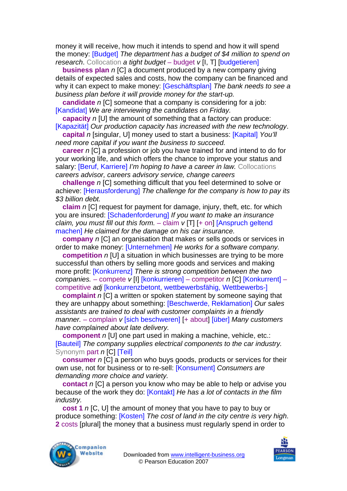money it will receive, how much it intends to spend and how it will spend the money: [Budget] *The department has a budget of \$4 million to spend on research*. Collocation *a tight budget* – budget *v* [I, T] [budgetieren]

**business plan** *n* [C] a document produced by a new company giving details of expected sales and costs, how the company can be financed and why it can expect to make money: [Geschäftsplan] *The bank needs to see a business plan before it will provide money for the start-up.* 

**candidate** *n* [C] someone that a company is considering for a job: [Kandidat] *We are interviewing the candidates on Friday.* 

**capacity** *n* [U] the amount of something that a factory can produce:

[Kapazität] *Our production capacity has increased with the new technology*.

**capital** *n* [singular, U] money used to start a business: [Kapital] *You'll need more capital if you want the business to succeed.* 

**career** *n* [C] a profession or job you have trained for and intend to do for your working life, and which offers the chance to improve your status and salary: [Beruf, Karriere] *I'm hoping to have a career in law.* Collocations *careers advisor, careers advisory service, change careers* 

**challenge** *n* [C] something difficult that you feel determined to solve or achieve: [Herausforderung] *The challenge for the company is how to pay its \$3 billion debt.* 

**claim** *n* [C] request for payment for damage, injury, theft, etc. for which you are insured: [Schadenforderung] *If you want to make an insurance claim, you must fill out this form.* – claim *v* [T] [+ on] [Anspruch geltend machen] *He claimed for the damage on his car insurance.* 

**company** *n* [C] an organisation that makes or sells goods or services in order to make money: [Unternehmen] *He works for a software company.* 

**competition** *n* [U] a situation in which businesses are trying to be more successful than others by selling more goods and services and making more profit: [Konkurrenz] *There is strong competition between the two companies.* – compete *v* [I] [konkurrieren] – competitor *n* [C] [Konkurrent] – competitive *adj* [konkurrenzbetont, wettbewerbsfähig, Wettbewerbs-]

**complaint** *n* [C] a written or spoken statement by someone saying that they are unhappy about something: [Beschwerde, Reklamation] *Our sales assistants are trained to deal with customer complaints in a friendly manner.* – complain *v* [sich beschweren] [+ about] [über] *Many customers have complained about late delivery.* 

**component** *n* [U] one part used in making a machine, vehicle, etc.: [Bauteil] *The company supplies electrical components to the car industry.*  Synonym part *n* [C] **[Teil]** 

**consumer** *n* [C] a person who buys goods, products or services for their own use, not for business or to re-sell: [Konsument] *Consumers are demanding more choice and variety.* 

**contact** *n* [C] a person you know who may be able to help or advise you because of the work they do: [Kontakt] *He has a lot of contacts in the film industry.* 

**cost 1** *n* [C, U] the amount of money that you have to pay to buy or produce something: [Kosten] *The cost of land in the city centre is very high*. **2** costs [plural] the money that a business must regularly spend in order to



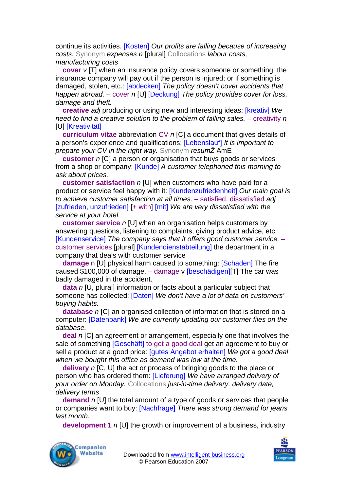continue its activities. [Kosten] *Our profits are falling because of increasing costs.* Synonym *expenses n* [plural] Collocations *labour costs, manufacturing costs* 

**cover** *v* [T] when an insurance policy covers someone or something, the insurance company will pay out if the person is injured; or if something is damaged, stolen, etc.: [abdecken] *The policy doesn't cover accidents that happen abroad.* – cover *n* [U] [Deckung] *The policy provides cover for loss, damage and theft.* 

**creative** *adj* producing or using new and interesting ideas: [kreativ] *We need to find a creative solution to the problem of falling sales. – creativity n* **[U] [Kreativität]** 

**curriculum vitae** abbreviation CV *n* [C] a document that gives details of a person's experience and qualifications: [Lebenslauf] *It is important to prepare your CV in the right way.* Synonym *resumŽ* AmE

**customer** *n* [C] a person or organisation that buys goods or services from a shop or company: [Kunde] *A customer telephoned this morning to ask about prices.* 

**customer satisfaction** *n* [U] when customers who have paid for a product or service feel happy with it: [Kundenzufriedenheit] *Our main goal is to achieve customer satisfaction at all times.* – satisfied, dissatisfied *adj* [zufrieden, unzufrieden] [+ with] [mit] *We are very dissatisfied with the service at your hotel.* 

**customer service** *n* [U] when an organisation helps customers by answering questions, listening to complaints, giving product advice, etc.: [Kundenservice] *The company says that it offers good customer service.* – customer services [plural] [Kundendienstabteilung] the department in a company that deals with customer service

**damage** n [U] physical harm caused to something: [Schaden] The fire caused \$100,000 of damage.  $-$  damage v [beschädigen][T] The car was badly damaged in the accident.

**data** *n* [U, plural] information or facts about a particular subject that someone has collected: [Daten] *We don't have a lot of data on customers' buying habits.* 

**database** *n* [C] an organised collection of information that is stored on a computer: [Datenbank] *We are currently updating our customer files on the database.* 

**deal** *n* [C] an agreement or arrangement, especially one that involves the sale of something [Geschäft] to get a good deal get an agreement to buy or sell a product at a good price: [gutes Angebot erhalten] *We got a good deal when we bought this office as demand was low at the time.* 

**delivery** *n* [C, U] the act or process of bringing goods to the place or person who has ordered them: [Lieferung] *We have arranged delivery of your order on Monday.* Collocations *just-in-time delivery, delivery date, delivery terms* 

**demand** *n* [U] the total amount of a type of goods or services that people or companies want to buy: [Nachfrage] *There was strong demand for jeans last month.* 

**development 1** *n* [U] the growth or improvement of a business, industry



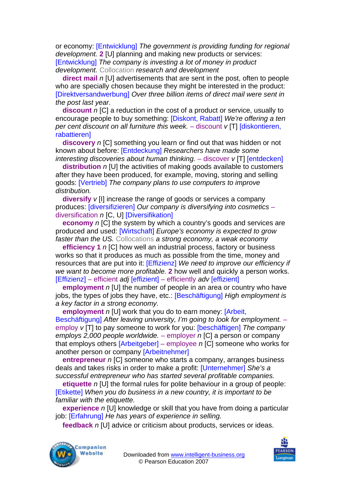or economy: [Entwicklung] *The government is providing funding for regional development.* **2** [U] planning and making new products or services: [Entwicklung] *The company is investing a lot of money in product development.* Collocation *research and development* 

**direct mail** *n* [U] advertisements that are sent in the post, often to people who are specially chosen because they might be interested in the product: [Direktversandwerbung] *Over three billion items of direct mail were sent in the post last year.* 

**discount** *n* [C] a reduction in the cost of a product or service, usually to encourage people to buy something: [Diskont, Rabatt] *We're offering a ten per cent discount on all furniture this week.* – discount *v* [T] [diskontieren, **rabattieren1** 

**discovery** *n* [C] something you learn or find out that was hidden or not known about before: [Entdeckung] *Researchers have made some interesting discoveries about human thinking.* – discover *v* [T] [entdecken]

**distribution** *n* [U] the activities of making goods available to customers after they have been produced, for example, moving, storing and selling goods: [Vertrieb] *The company plans to use computers to improve distribution.*

**diversify** *v* [I] increase the range of goods or services a company produces: [diversifizieren] *Our company is diversifying into cosmetics* – diversification *n* [C, U] [Diversifikation]

**economy** *n* [C] the system by which a country's goods and services are produced and used: [Wirtschaft] *Europe's economy is expected to grow faster than the US.* Collocations *a strong economy, a weak economy* 

**efficiency 1** *n* [C] how well an industrial process, factory or business works so that it produces as much as possible from the time, money and resources that are put into it: [Effizienz] *We need to improve our efficiency if we want to become more profitable.* **2** how well and quickly a person works. [Effizienz] – efficient *adj* [effizient] – efficiently *adv* [effizient]

**employment** *n* [U] the number of people in an area or country who have jobs, the types of jobs they have, etc.: [Beschäftigung] *High employment is a key factor in a strong economy.* 

**employment** *n* [U] work that you do to earn money: [Arbeit,

Beschäftigung] *After leaving university, I'm going to look for employment.* – employ *v* [T] to pay someone to work for you: [beschäftigen] *The company employs 2,000 people worldwide.* – employer *n* [C] a person or company that employs others [Arbeitgeber] – employee *n* [C] someone who works for another person or company [Arbeitnehmer]

**entrepreneur** *n* [C] someone who starts a company, arranges business deals and takes risks in order to make a profit: [Unternehmer] *She's a successful entrepreneur who has started several profitable companies.* 

**etiquette** *n* [U] the formal rules for polite behaviour in a group of people: [Etikette] *When you do business in a new country, it is important to be familiar with the etiquette.* 

**experience** *n* [U] knowledge or skill that you have from doing a particular job: [Erfahrung] *He has years of experience in selling.* 

**feedback** *n* [U] advice or criticism about products, services or ideas.



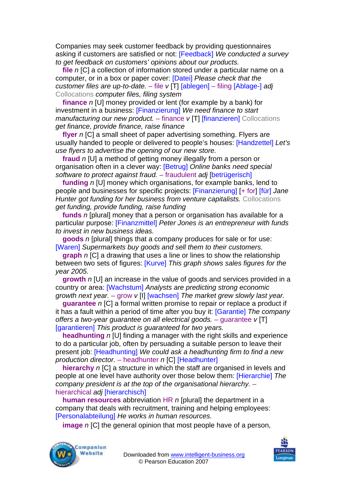Companies may seek customer feedback by providing questionnaires asking if customers are satisfied or not: [Feedback] *We conducted a survey to get feedback on customers' opinions about our products.* 

**file** *n* [C] a collection of information stored under a particular name on a computer, or in a box or paper cover: [Datei] *Please check that the customer files are up-to-date.* – file *v* [T] [ablegen] – filing [Ablage-] *adj*  Collocations *computer files, filing system*

**finance** *n* [U] money provided or lent (for example by a bank) for investment in a business: [Finanzierung] *We need finance to start manufacturing our new product.* – finance *v* [T] *[finanzieren]* Collocations *get finance, provide finance, raise finance* 

**flyer** *n* [C] a small sheet of paper advertising something. Flyers are usually handed to people or delivered to people's houses: [Handzettel] *Let's use flyers to advertise the opening of our new store.* 

**fraud** *n* [U] a method of getting money illegally from a person or organisation often in a clever way: [Betrug] *Online banks need special software to protect against fraud.* – fraudulent *adj* [betrügerisch]

**funding** *n* [U] money which organisations, for example banks, lend to people and businesses for specific projects: [Finanzierung] [+ for] [für] *Jane Hunter got funding for her business from venture capitalists.* Collocations *get funding, provide funding, raise funding* 

**funds** *n* [plural] money that a person or organisation has available for a particular purpose: [Finanzmittel] *Peter Jones is an entrepreneur with funds to invest in new business ideas.* 

**goods** *n* [plural] things that a company produces for sale or for use: [Waren] *Supermarkets buy goods and sell them to their customers.* 

**graph** *n* [C] a drawing that uses a line or lines to show the relationship between two sets of figures: [Kurve] *This graph shows sales figures for the year 2005.* 

**growth** *n* [U] an increase in the value of goods and services provided in a country or area: [Wachstum] *Analysts are predicting strong economic growth next year.* – grow *v* [I] [wachsen] *The market grew slowly last year.* 

**guarantee** *n* [C] a formal written promise to repair or replace a product if it has a fault within a period of time after you buy it: [Garantie] *The company offers a two-year guarantee on all electrical goods.* – guarantee *v* [T] [garantieren] *This product is guaranteed for two years.* 

**headhunting** *n* [U] finding a manager with the right skills and experience to do a particular job, often by persuading a suitable person to leave their present job: [Headhunting] *We could ask a headhunting firm to find a new production director.* – headhunter *n* [C] [Headhunter]

**hierarchy** *n* [C] a structure in which the staff are organised in levels and people at one level have authority over those below them: [Hierarchie] *The company president is at the top of the organisational hierarchy.* – hierarchical *adj* [hierarchisch]

**human resources** abbreviation HR *n* [plural] the department in a company that deals with recruitment, training and helping employees: [Personalabteilung] *He works in human resources.* 

**image** *n* ICI the general opinion that most people have of a person.



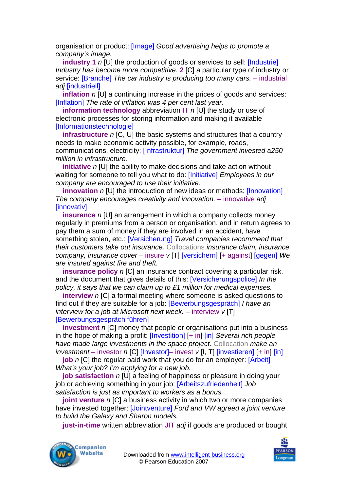organisation or product: [Image] *Good advertising helps to promote a company's image.* 

**industry 1** *n* [U] the production of goods or services to sell: [Industrie] *Industry has become more competitive*. **2** [C] a particular type of industry or service: [Branche] *The car industry is producing too many cars.* – industrial *adj* [industriell]

**inflation** *n* [U] a continuing increase in the prices of goods and services: [Inflation] The rate of inflation was 4 per cent last year.

**information technology** abbreviation IT *n* [U] the study or use of electronic processes for storing information and making it available [Informationstechnologie]

**infrastructure** *n* [C, U] the basic systems and structures that a country needs to make economic activity possible, for example, roads, communications, electricity: [Infrastruktur] *The government invested* a*250 million in infrastructure.* 

**initiative** *n* [U] the ability to make decisions and take action without waiting for someone to tell you what to do: [Initiative] *Employees in our company are encouraged to use their initiative.* 

**innovation** *n* [U] the introduction of new ideas or methods: [Innovation] *The company encourages creativity and innovation.* – innovative *adj* [innovativ]

**insurance** *n* [U] an arrangement in which a company collects money regularly in premiums from a person or organisation, and in return agrees to pay them a sum of money if they are involved in an accident, have something stolen, etc.: [Versicherung] *Travel companies recommend that their customers take out insurance.* Collocations *insurance claim, insurance company, insurance cover* – insure *v* [T] [versichern] [+ against] [gegen] *We are insured against fire and theft.* 

**insurance policy** *n* [C] an insurance contract covering a particular risk, and the document that gives details of this: [Versicherungspolice] *In the policy, it says that we can claim up to £1 million for medical expenses.* 

**interview** *n* [C] a formal meeting where someone is asked questions to find out if they are suitable for a job: [Bewerbungsgespräch] *I have an interview for a job at Microsoft next week.* – interview *v* [T] [Bewerbungsgespräch führen]

**investment** *n* [C] money that people or organisations put into a business in the hope of making a profit: [Investition] [+ in] [in] *Several rich people have made large investments in the space project.* Collocation *make an investment* – investor *n* [C] [Investor]– invest *v* [I, T] [investieren] [+ in] [in]

**job** *n* [C] the regular paid work that you do for an employer: [Arbeit] *What's your job? I'm applying for a new job.* 

**job satisfaction** *n* [U] a feeling of happiness or pleasure in doing your job or achieving something in your job: [Arbeitszufriedenheit] *Job satisfaction is just as important to workers as a bonus.* 

**joint venture** *n* [C] a business activity in which two or more companies have invested together: [Jointventure] *Ford and VW agreed a joint venture to build the Galaxy and Sharon models.* 

**just-in-time** written abbreviation JIT *adj* if goods are produced or bought



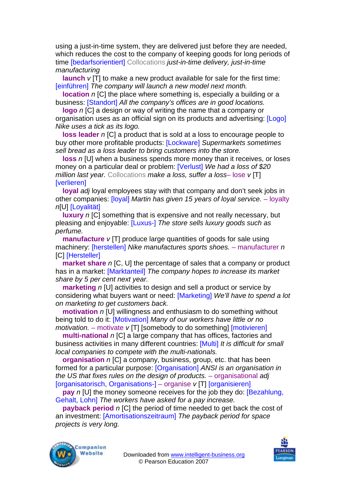using a just-in-time system, they are delivered just before they are needed, which reduces the cost to the company of keeping goods for long periods of time [bedarfsorientiert] Collocations *just-in-time delivery, just-in-time manufacturing* 

**launch**  $v$  [T] to make a new product available for sale for the first time: [einführen] *The company will launch a new model next month.* 

**location** *n* ICI the place where something is, especially a building or a business: [Standort] *All the company's offices are in good locations.* 

**logo** *n* [C] a design or way of writing the name that a company or organisation uses as an official sign on its products and advertising: [Logo] *Nike uses a tick as its logo.* 

**loss leader** *n* [C] a product that is sold at a loss to encourage people to buy other more profitable products: [Lockware] *Supermarkets sometimes sell bread as a loss leader to bring customers into the store.* 

**loss** *n* [U] when a business spends more money than it receives, or loses money on a particular deal or problem: [Verlust] *We had a loss of \$20 million last year.* Collocations *make a loss, suffer a loss*– lose *v* [T] **[verlieren]** 

**loyal** *adj* loyal employees stay with that company and don't seek jobs in other companies: [loyal] *Martin has given 15 years of loyal service.* – loyalty *n*[U] [Loyalität]

**luxury** *n* [C] something that is expensive and not really necessary, but pleasing and enjoyable: [Luxus-] *The store sells luxury goods such as perfume.* 

**manufacture** *v* [T] produce large quantities of goods for sale using machinery: [herstellen] *Nike manufactures sports shoes.* – manufacturer *n*  **[C]** [Hersteller]

**market share** *n* [C, U] the percentage of sales that a company or product has in a market: [Marktanteil] *The company hopes to increase its market share by 5 per cent next year.* 

**marketing** *n* [U] activities to design and sell a product or service by considering what buyers want or need: [Marketing] *We'll have to spend a lot on marketing to get customers back.* 

**motivation** *n* [U] willingness and enthusiasm to do something without being told to do it: [Motivation] *Many of our workers have little or no motivation.* – motivate *v* [T] [somebody to do something] [motivieren]

**multi-national** *n* [C] a large company that has offices, factories and business activities in many different countries: [Multi] *It is difficult for small local companies to compete with the multi-nationals.* 

**organisation** *n* [C] a company, business, group, etc. that has been formed for a particular purpose: [Organisation] *ANSI is an organisation in the US that fixes rules on the design of products.* – organisational *adj* [organisatorisch, Organisations-] – organise *v* [T] [organisieren]

**pay** *n* [U] the money someone receives for the job they do: **[Bezahlung**, Gehalt, Lohn] *The workers have asked for a pay increase.* 

**payback period** *n* [C] the period of time needed to get back the cost of an investment: [Amortisationszeitraum] *The payback period for space projects is very long.* 



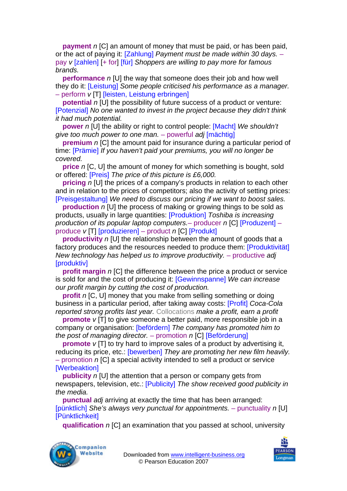**payment** *n* [C] an amount of money that must be paid, or has been paid, or the act of paying it: [Zahlung] *Payment must be made within 30 days.* – pay *v* [zahlen] [+ for] [für] *Shoppers are willing to pay more for famous brands.* 

**performance** *n* [U] the way that someone does their job and how well they do it: [Leistung] *Some people criticised his performance as a manager.*  – perform *v* [T] [leisten, Leistung erbringen]

**potential** *n* [U] the possibility of future success of a product or venture: [Potenzial] *No one wanted to invest in the project because they didn't think it had much potential.* 

**power** *n* [U] the ability or right to control people: [Macht] *We shouldn't give too much power to one man.* – powerful *adj* [mächtig]

**premium** *n* [C] the amount paid for insurance during a particular period of time: [Prämie] *If you haven't paid your premiums, you will no longer be covered.* 

**price** *n* [C, U] the amount of money for which something is bought, sold or offered: [Preis] *The price of this picture is £6,000.* 

**pricing** *n* [U] the prices of a company's products in relation to each other and in relation to the prices of competitors; also the activity of setting prices: [Preisgestaltung] *We need to discuss our pricing if we want to boost sales.* 

**production** *n* [U] the process of making or growing things to be sold as products, usually in large quantities: [Produktion] *Toshiba is increasing production of its popular laptop computers.*– producer *n* [C] [Produzent] – produce *v* [T] [produzieren] – product *n* [C] [Produkt]

**productivity** *n* [U] the relationship between the amount of goods that a factory produces and the resources needed to produce them: [Produktivität] *New technology has helped us to improve productivity.* – productive *adj*  [produktiv]

**profit margin** *n* [C] the difference between the price a product or service is sold for and the cost of producing it: [Gewinnspanne] *We can increase our profit margin by cutting the cost of production.* 

**profit** *n* [C, U] money that you make from selling something or doing business in a particular period, after taking away costs: [Profit] *Coca-Cola reported strong profits last year.* Collocations *make a profit, earn a profit* 

**promote** *v* [T] to give someone a better paid, more responsible job in a company or organisation: [befördern] *The company has promoted him to the post of managing director.* – promotion *n* [C] [Beförderung]

**promote** *v* [T] to try hard to improve sales of a product by advertising it, reducing its price, etc.: [bewerben] *They are promoting her new film heavily.*  – promotion *n* [C] a special activity intended to sell a product or service [Werbeaktion]

**publicity** *n* [U] the attention that a person or company gets from newspapers, television, etc.: [Publicity] *The show received good publicity in the media.* 

**punctual** *adj* arriving at exactly the time that has been arranged: [pünktlich] *She's always very punctual for appointments.* – punctuality *n* [U] [Pünktlichkeit]

**qualification** *n* [C] an examination that you passed at school, university



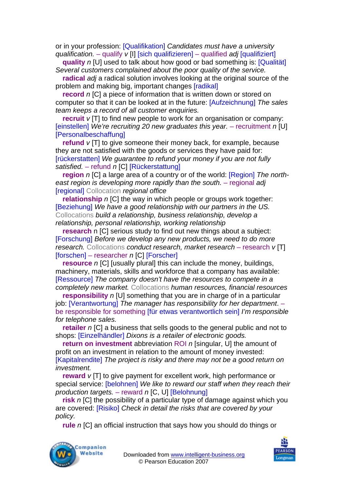or in your profession: [Qualifikation] *Candidates must have a university qualification.* – qualify *v* [I] [sich qualifizieren] – qualified *adj* [qualifiziert]

**quality** *n* [U] used to talk about how good or bad something is: [Qualität] *Several customers complained about the poor quality of the service.* 

**radical** *adj* a radical solution involves looking at the original source of the problem and making big, important changes [radikal]

**record** *n* ICI a piece of information that is written down or stored on computer so that it can be looked at in the future: [Aufzeichnung] *The sales team keeps a record of all customer enquiries.* 

**recruit** *v* [T] to find new people to work for an organisation or company: **[einstellen]** We're recruiting 20 new graduates this year. – recruitment *n* [U] [Personalbeschaffung]

**refund** *v* [T] to give someone their money back, for example, because they are not satisfied with the goods or services they have paid for: [rückerstatten] *We guarantee to refund your money if you are not fully satisfied.* – refund *n* [C] [Rückerstattung]

**region** *n* [C] a large area of a country or of the world: [Region] *The northeast region is developing more rapidly than the south.* – regional *adj* **[regional]** Collocation *regional office* 

**relationship** *n* [C] the way in which people or groups work together: [Beziehung] *We have a good relationship with our partners in the US.*  Collocations *build a relationship, business relationship, develop a relationship, personal relationship, working relationship* 

**research** n [C] serious study to find out new things about a subject: [Forschung] *Before we develop any new products, we need to do more research.* Collocations *conduct research, market research* – research *v* [T] [forschen] – researcher *n* [C] [Forscher]

**resource** *n* [C] [usually plural] this can include the money, buildings, machinery, materials, skills and workforce that a company has available: [Ressource] *The company doesn't have the resources to compete in a completely new market.* Collocations *human resources, financial resources* 

**responsibility** *n* [U] something that you are in charge of in a particular job: [Verantwortung] *The manager has responsibility for her department*. – be responsible for something [für etwas verantwortlich sein] *I'm responsible for telephone sales.* 

**retailer** *n* [C] a business that sells goods to the general public and not to shops: [Einzelhändler] *Dixons is a retailer of electronic goods.* 

**return on investment** abbreviation ROI *n* [singular, U] the amount of profit on an investment in relation to the amount of money invested: [Kapitalrendite] *The project is risky and there may not be a good return on investment.*

**reward**  $v$  [T] to give payment for excellent work, high performance or special service: [belohnen] *We like to reward our staff when they reach their production targets.* – reward *n* [C, U] [Belohnung]

**risk** *n* [C] the possibility of a particular type of damage against which you are covered: [Risiko] *Check in detail the risks that are covered by your policy.* 

**rule** *n* [C] an official instruction that says how you should do things or



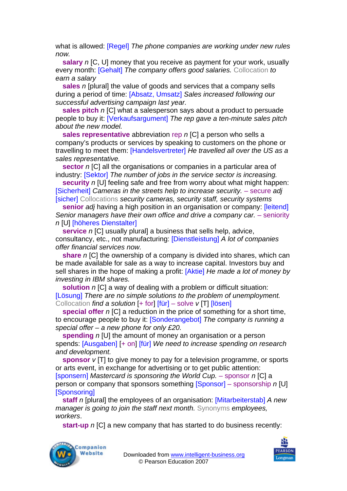what is allowed: [Regel] *The phone companies are working under new rules now.* 

**salary** *n* [C, U] money that you receive as payment for your work, usually every month: [Gehalt] *The company offers good salaries.* Collocation *to earn a salary* 

**sales** *n* [plural] the value of goods and services that a company sells during a period of time: [Absatz, Umsatz] *Sales increased following our successful advertising campaign last year.* 

**sales pitch** *n* [C] what a salesperson says about a product to persuade people to buy it: [Verkaufsargument] *The rep gave a ten-minute sales pitch about the new model.* 

**sales representative** abbreviation rep *n* [C] a person who sells a company's products or services by speaking to customers on the phone or travelling to meet them: [Handelsvertreter] *He travelled all over the US as a sales representative.* 

**sector** *n* [C] all the organisations or companies in a particular area of industry: [Sektor] *The number of jobs in the service sector is increasing.* 

**security** *n* [U] feeling safe and free from worry about what might happen: **[Sicherheit]** Cameras in the streets help to increase security. – secure adj [sicher] Collocations *security cameras, security staff, security systems* 

**senior** *adj* having a high position in an organisation or company: [leitend] Senior managers have their own office and drive a company car. - seniority *n* [U] [höheres Dienstalter]

**service** *n* [C] usually plural] a business that sells help, advice, consultancy, etc., not manufacturing: [Dienstleistung] *A lot of companies offer financial services now.* 

**share** *n* [C] the ownership of a company is divided into shares, which can be made available for sale as a way to increase capital. Investors buy and sell shares in the hope of making a profit: [Aktie] *He made a lot of money by investing in IBM shares.* 

**solution** *n* [C] a way of dealing with a problem or difficult situation: [Lösung] *There are no simple solutions to the problem of unemployment.*  Collocation *find a solution* [+ for] [für] – solve *v* [T] [lösen]

**special offer** *n* [C] a reduction in the price of something for a short time, to encourage people to buy it: [Sonderangebot] *The company is running a special offer – a new phone for only £20.* 

**spending** *n* [U] the amount of money an organisation or a person spends: [Ausgaben] [+ on] [für] *We need to increase spending on research and development.* 

**sponsor** *v* [T] to give money to pay for a television programme, or sports or arts event, in exchange for advertising or to get public attention: [sponsern] *Mastercard is sponsoring the World Cup.* – sponsor *n* [C] a person or company that sponsors something [Sponsor] – sponsorship *n* [U] [Sponsoring]

**staff** *n* [plural] the employees of an organisation: [Mitarbeiterstab] *A new manager is going to join the staff next month.* Synonyms *employees, workers*.

**start-up** *n* [C] a new company that has started to do business recently:



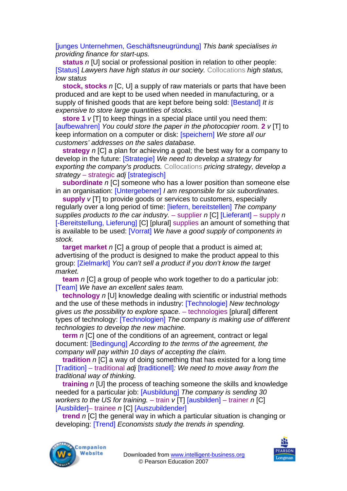[junges Unternehmen, Geschäftsneugründung] *This bank specialises in providing finance for start-ups.* 

**status** *n* [U] social or professional position in relation to other people: [Status] *Lawyers have high status in our society.* Collocations *high status, low status* 

**stock, stocks** *n* [C, U] a supply of raw materials or parts that have been produced and are kept to be used when needed in manufacturing, or a supply of finished goods that are kept before being sold: [Bestand] *It is expensive to store large quantities of stocks.* 

**store 1** *v* [T] to keep things in a special place until you need them: [aufbewahren] *You could store the paper in the photocopier room.* **2** *v* [T] to keep information on a computer or disk: [speichern] *We store all our customers' addresses on the sales database.* 

**strategy** *n* [C] a plan for achieving a goal; the best way for a company to develop in the future: [Strategie] *We need to develop a strategy for exporting the company's products.* Collocations *pricing strategy, develop a strategy* – strategic *adj* [strategisch]

**subordinate** *n* [C] someone who has a lower position than someone else in an organisation: [Untergebener] *I am responsible for six subordinates.* 

**supply** *v* [T] to provide goods or services to customers, especially regularly over a long period of time: [liefern, bereitstellen] *The company supplies products to the car industry.* – supplier *n* [C] [Lieferant] – supply *n*  [-Bereitstellung, Lieferung] [C] [plural] supplies an amount of something that is available to be used: [Vorrat] *We have a good supply of components in stock.*

**target market** *n* [C] a group of people that a product is aimed at; advertising of the product is designed to make the product appeal to this group: [Zielmarkt] *You can't sell a product if you don't know the target market.* 

**team** *n* [C] a group of people who work together to do a particular job: [Team] *We have an excellent sales team.* 

**technology** *n* [U] knowledge dealing with scientific or industrial methods and the use of these methods in industry: [Technologie] *New technology gives us the possibility to explore space.* – technologies [plural] different types of technology: [Technologien] *The company is making use of different technologies to develop the new machine.* 

**term** *n* ICI one of the conditions of an agreement, contract or legal document: [Bedingung] *According to the terms of the agreement, the company will pay within 10 days of accepting the claim.*

**tradition** *n* [C] a way of doing something that has existed for a long time [Tradition] – traditional *adj* [traditionell]*: We need to move away from the traditional way of thinking.* 

**training** *n* [U] the process of teaching someone the skills and knowledge needed for a particular job: [Ausbildung] *The company is sending 30 workers to the US for training.* – train *v* [T] [ausbilden] – trainer *n* [C] [Ausbilder]– trainee *n* [C] [Auszubildender]

**trend** *n* [C] the general way in which a particular situation is changing or developing: [Trend] *Economists study the trends in spending.*